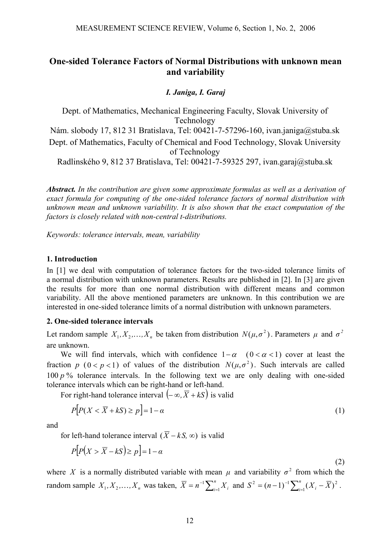# **One-sided Tolerance Factors of Normal Distributions with unknown mean and variability**

#### *I. Janiga, I. Garaj*

Dept. of Mathematics, Mechanical Engineering Faculty, Slovak University of Technology Nám. slobody 17, 812 31 Bratislava, Tel: 00421-7-57296-160, ivan.janiga@stuba.sk Dept. of Mathematics, Faculty of Chemical and Food Technology, Slovak University of Technology

Radlinského 9, 812 37 Bratislava, Tel: 00421-7-59325 297, ivan.garaj@stuba.sk

*Abstract. In the contribution are given some approximate formulas as well as a derivation of exact formula for computing of the one-sided tolerance factors of normal distribution with unknown mean and unknown variability. It is also shown that the exact computation of the factors is closely related with non-central t-distributions.* 

*Keywords: tolerance intervals, mean, variability* 

#### **1. Introduction**

In [1] we deal with computation of tolerance factors for the two-sided tolerance limits of a normal distribution with unknown parameters. Results are published in [2]. In [3] are given the results for more than one normal distribution with different means and common variability. All the above mentioned parameters are unknown. In this contribution we are interested in one-sided tolerance limits of a normal distribution with unknown parameters.

#### **2. One-sided tolerance intervals**

Let random sample  $X_1, X_2, \ldots, X_n$  be taken from distribution  $N(\mu, \sigma^2)$ . Parameters  $\mu$  and  $\sigma^2$ are unknown.

We will find intervals, which with confidence  $1-\alpha$  ( $0 < \alpha < 1$ ) cover at least the fraction *p* ( $0 < p < 1$ ) of values of the distribution  $N(\mu, \sigma^2)$ . Such intervals are called 100 *p* % tolerance intervals. In the following text we are only dealing with one-sided tolerance intervals which can be right-hand or left-hand.

For right-hand tolerance interval  $(-\infty, \overline{X} + kS)$  is valid

$$
P[P(X < \overline{X} + kS) \ge p] = 1 - \alpha \tag{1}
$$

and

for left-hand tolerance interval ( $\overline{X}$  − *kS*, ∞) is valid

$$
P[P(X > \overline{X} - kS) \ge p] = 1 - \alpha
$$
\n(2)

where X is a normally distributed variable with mean  $\mu$  and variability  $\sigma^2$  from which the random sample  $X_1, X_2, ..., X_n$  was taken,  $\overline{X} = n^{-1} \sum_{i=1}^n X_i$  and  $S^2 = (n-1)^{-1} \sum_{i=1}^n (X_i - \overline{X})^2$ .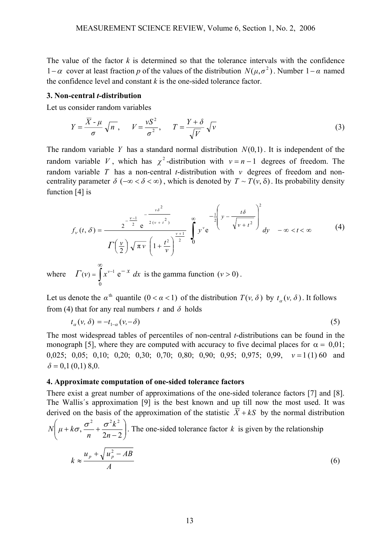The value of the factor  $k$  is determined so that the tolerance intervals with the confidence 1−α cover at least fraction *p* of the values of the distribution  $N(\mu, \sigma^2)$ . Number 1−α named the confidence level and constant *k* is the one-sided tolerance factor.

#### **3. Non-central** *t***-distribution**

Let us consider random variables

$$
Y = \frac{\overline{X} - \mu}{\sigma} \sqrt{n}, \qquad V = \frac{vS^2}{\sigma^2}, \qquad T = \frac{Y + \delta}{\sqrt{V}} \sqrt{v}
$$
(3)

The random variable *Y* has a standard normal distribution  $N(0,1)$ . It is independent of the random variable V, which has  $\chi^2$ -distribution with  $v = n - 1$  degrees of freedom. The random variable *T* has a non-central *t*-distribution with *ν* degrees of freedom and noncentrality parameter  $\delta$  ( $-\infty < \delta < \infty$ ), which is denoted by  $T \sim T(\nu, \delta)$ . Its probability density function [4] is

$$
f_{\nu}(t,\delta) = \frac{2^{-\frac{\nu-1}{2}}e^{-\frac{\nu\delta^2}{2(\nu+t^2)}}}{\Gamma(\frac{\nu}{2})\sqrt{\pi\nu}\left(1+\frac{t^2}{\nu}\right)^{\frac{\nu+1}{2}}}\int_{0}^{\infty} y^{\nu}e^{-\frac{1}{2}\left(y-\frac{t\delta}{\sqrt{\nu+t^2}}\right)^2}dy - \infty < t < \infty
$$
 (4)

where  $\Gamma(v) = \int_{0}^{\infty} x^{v-1} e^{-x}$  $\overline{0}$  $\Gamma(v) = \int x^{v-1} e^{-x} dx$  is the gamma function  $(v > 0)$ .

Let us denote the  $\alpha^{\text{th}}$  quantile  $(0 < \alpha < 1)$  of the distribution  $T(v, \delta)$  by  $t_{\alpha}(v, \delta)$ . It follows from (4) that for any real numbers  $t$  and  $\delta$  holds

$$
t_{\alpha}(\nu,\delta) = -t_{1-\alpha}(\nu,-\delta) \tag{5}
$$

The most widespread tables of percentiles of non-central *t*-distributions can be found in the monograph [5], where they are computed with accuracy to five decimal places for  $\alpha = 0.01$ ; 0,025; 0,05; 0,10; 0,20; 0,30; 0,70; 0,80; 0,90; 0,95; 0,975; 0,99, *ν* = 1 (1) 60 and  $\delta = 0.1(0.1)8.0$ .

#### **4. Approximate computation of one-sided tolerance factors**

There exist a great number of approximations of the one-sided tolerance factors [7] and [8]. The Wallis´s approximation [9] is the best known and up till now the most used. It was derived on the basis of the approximation of the statistic  $\overline{X} + kS$  by the normal distribution

$$
N\left(\mu + k\sigma, \frac{\sigma^2}{n} + \frac{\sigma^2 k^2}{2n - 2}\right).
$$
 The one-sided tolerance factor *k* is given by the relationship  

$$
k \approx \frac{u_p + \sqrt{u_p^2 - AB}}{A}
$$
 (6)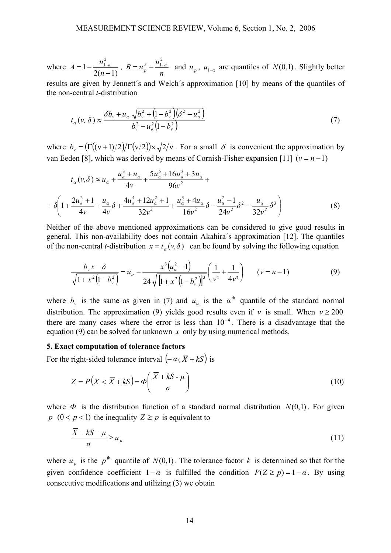where *n g*  $B = u_n^2 - \frac{u_n^2}{2}$ *n*  $A = 1 - \frac{u_{1-a}^2}{2(a-1)}, B = u_p^2 - \frac{u_{1-a}^2}{a}$ 2 1 2 1  $= 1 - \frac{u_{1-\alpha}}{2(n-1)}$ ,  $B = u_p^2 - \frac{u_{1-\alpha}}{n}$  and  $u_p$ ,  $u_{1-\alpha}$  are quantiles of  $N(0,1)$ . Slightly better results are given by Jennett´s and Welch´s approximation [10] by means of the quantiles of the non-central *t*-distribution

$$
t_{\alpha}(v,\delta) \approx \frac{\delta b_v + u_{\alpha} \sqrt{b_v^2 + (1 - b_v^2)(\delta^2 - u_{\alpha}^2)}}{b_v^2 - u_{\alpha}^2 (1 - b_v^2)}
$$
(7)

where  $b_v = (\Gamma((v+1)/2)/\Gamma(v/2)) \times \sqrt{2/v}$ . For a small  $\delta$  is convenient the approximation by van Eeden [8], which was derived by means of Cornish-Fisher expansion [11]  $(v = n - 1)$ 

$$
t_{\alpha}(v,\delta) \approx u_{\alpha} + \frac{u_{\alpha}^{3} + u_{\alpha}}{4v} + \frac{5u_{\alpha}^{5} + 16u_{\alpha}^{3} + 3u_{\alpha}}{96v^{2}} +
$$
  
+ 
$$
\delta \left(1 + \frac{2u_{\alpha}^{2} + 1}{4v} + \frac{u_{\alpha}}{4v} \delta + \frac{4u_{\alpha}^{4} + 12u_{\alpha}^{2} + 1}{32v^{2}} + \frac{u_{\alpha}^{3} + 4u_{\alpha}}{16v^{2}} \delta - \frac{u_{\alpha}^{2} - 1}{24v^{2}} \delta^{2} - \frac{u_{\alpha}}{32v^{2}} \delta^{3}\right)
$$
(8)

Neither of the above mentioned approximations can be considered to give good results in general. This non-availability does not contain Akahira´s approximation [12]. The quantiles of the non-central *t*-distribution  $x = t_a(v, \delta)$  can be found by solving the following equation

$$
\frac{b_v x - \delta}{\sqrt{1 + x^2 (1 - b_v^2)}} = u_a - \frac{x^3 (u_a^2 - 1)}{24 \sqrt{[1 + x^2 (1 - b_v^2)]^3}} \left(\frac{1}{v^2} + \frac{1}{4v^3}\right) \qquad (v = n - 1)
$$
\n(9)

where  $b<sub>v</sub>$  is the same as given in (7) and  $u<sub>a</sub>$  is the  $\alpha<sup>th</sup>$  quantile of the standard normal distribution. The approximation (9) yields good results even if *v* is small. When  $v \ge 200$ there are many cases where the error is less than  $10^{-4}$ . There is a disadvantage that the equation (9) can be solved for unknown *x* only by using numerical methods.

#### **5. Exact computation of tolerance factors**

For the right-sided tolerance interval  $(-\infty, \overline{X} + kS)$  is

$$
Z = P\left(X < \overline{X} + kS\right) = \Phi\left(\frac{\overline{X} + kS - \mu}{\sigma}\right) \tag{10}
$$

where  $\Phi$  is the distribution function of a standard normal distribution  $N(0,1)$ . For given *p*  $(0 < p < 1)$  the inequality  $Z \geq p$  is equivalent to

$$
\frac{\overline{X} + kS - \mu}{\sigma} \ge u_p \tag{11}
$$

where  $u_p$  is the  $p^{\text{th}}$  quantile of  $N(0,1)$ . The tolerance factor *k* is determined so that for the given confidence coefficient  $1-\alpha$  is fulfilled the condition  $P(Z \ge p) = 1-\alpha$ . By using consecutive modifications and utilizing (3) we obtain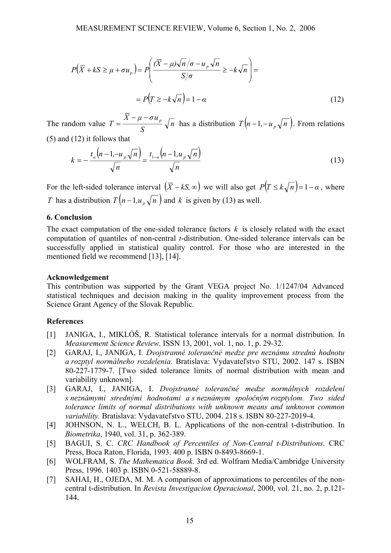$$
P(\overline{X} + kS \ge \mu + \sigma u_{p}) = P\left(\frac{(\overline{X} - \mu)\sqrt{n}/\sigma - u_{p}\sqrt{n}}{S/\sigma} \ge -k\sqrt{n}\right) =
$$
  
=  $P(T \ge -k\sqrt{n}) = 1 - \alpha$  (12)

The random value  $T = \frac{r^2 - r^2}{r^2} \sqrt{n}$ *S*  $T = \frac{\overline{X} - \mu - \sigma u_p}{\sigma} \sqrt{n}$  has a distribution  $T(n-1, -u_p\sqrt{n})$ . From relations (5) and (12) it follows that

$$
k = -\frac{t_a \left(n - 1, -u_p \sqrt{n}\right)}{\sqrt{n}} = \frac{t_{1-a} \left(n - 1, u_p \sqrt{n}\right)}{\sqrt{n}}
$$
(13)

For the left-sided tolerance interval  $(\overline{X} - kS, \infty)$  we will also get  $P(T \le k\sqrt{n}) = 1 - \alpha$ , where *T* has a distribution  $T(n-1, u_n\sqrt{n})$  and *k* is given by (13) as well.

## **6. Conclusion**

The exact computation of the one-sided tolerance factors  $k$  is closely related with the exact computation of quantiles of non-central *t*-distribution. One-sided tolerance intervals can be successfully applied in statistical quality control. For those who are interested in the mentioned field we recommend [13], [14].

### **Acknowledgement**

This contribution was supported by the Grant VEGA project No. 1/1247/04 Advanced statistical techniques and decision making in the quality improvement process from the Science Grant Agency of the Slovak Republic.

## **References**

- [1] JANIGA, I., MIKLÓŠ, R. Statistical tolerance intervals for a normal distribution. In *Measurement Science Review*. ISSN 13, 2001, vol. 1, no. 1, p. 29-32.
- [2] GARAJ, I., JANIGA, I. *Dvojstranné tolerančné medze pre neznámu strednú hodnotu a rozptyl normálneho rozdelenia*. Bratislava: Vydavateľstvo STU, 2002. 147 s. ISBN 80-227-1779-7. [Two sided tolerance limits of normal distribution with mean and variability unknown].
- [3] GARAJ, I., JANIGA, I. *Dvojstranné tolerančné medze normálnych rozdelení s neznámymi strednými hodnotami a s neznámym spoločným rozptylom. Two sided tolerance limits of normal distributions with unknown means and unknown common variability.* Bratislava: Vydavateľstvo STU, 2004. 218 s. ISBN 80-227-2019-4.
- [4] JOHNSON, N. L., WELCH, B. L. Applications of the non-central t-distribution. In *Biometrika*, 1940, vol. 31, p. 362-389.
- [5] BAGUI, S. C. *CRC Handbook of Percentiles of Non-Central t-Distributions*. CRC Press, Boca Raton, Florida, 1993. 400 p. ISBN 0-8493-8669-1.
- [6] WOLFRAM, S. *The Mathematica Book*. 3rd ed. Wolfram Media/Cambridge University Press, 1996. 1403 p. ISBN 0-521-58889-8.
- [7] SAHAI, H., OJEDA, M. M. A comparison of approximations to percentiles of the noncentral t-distribution. In *Revista Investigacion Operacional*, 2000, vol. 21, no. 2, p.121- 144.